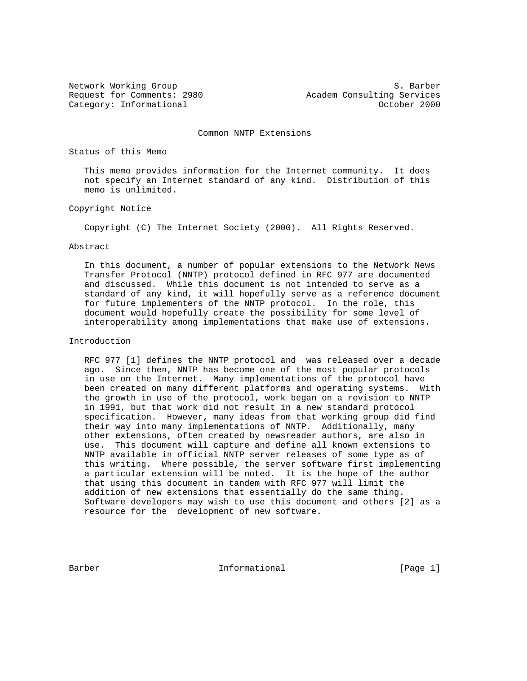Network Working Group S. Barber Request for Comments: 2980 Academ Consulting Services Category: Informational and Category: Category: Informational and Category: Category: October 2000

Common NNTP Extensions

Status of this Memo

 This memo provides information for the Internet community. It does not specify an Internet standard of any kind. Distribution of this memo is unlimited.

Copyright Notice

Copyright (C) The Internet Society (2000). All Rights Reserved.

#### Abstract

 In this document, a number of popular extensions to the Network News Transfer Protocol (NNTP) protocol defined in RFC 977 are documented and discussed. While this document is not intended to serve as a standard of any kind, it will hopefully serve as a reference document for future implementers of the NNTP protocol. In the role, this document would hopefully create the possibility for some level of interoperability among implementations that make use of extensions.

#### Introduction

 RFC 977 [1] defines the NNTP protocol and was released over a decade ago. Since then, NNTP has become one of the most popular protocols in use on the Internet. Many implementations of the protocol have been created on many different platforms and operating systems. With the growth in use of the protocol, work began on a revision to NNTP in 1991, but that work did not result in a new standard protocol specification. However, many ideas from that working group did find their way into many implementations of NNTP. Additionally, many other extensions, often created by newsreader authors, are also in use. This document will capture and define all known extensions to NNTP available in official NNTP server releases of some type as of this writing. Where possible, the server software first implementing a particular extension will be noted. It is the hope of the author that using this document in tandem with RFC 977 will limit the addition of new extensions that essentially do the same thing. Software developers may wish to use this document and others [2] as a resource for the development of new software.

Barber 11 - Informational 1999 [Page 1]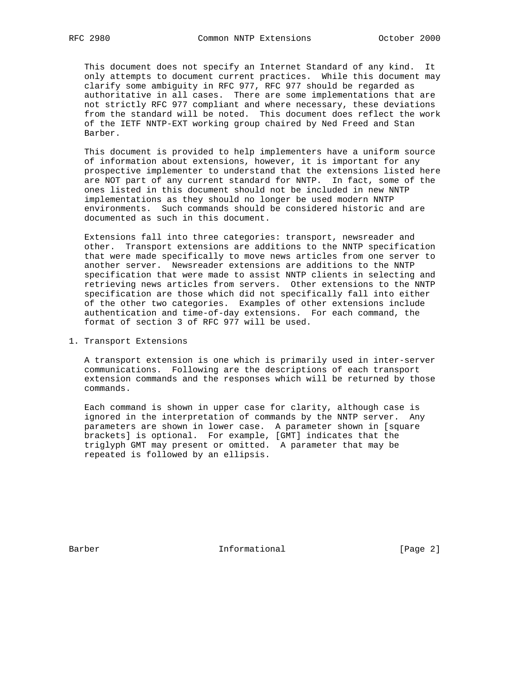This document does not specify an Internet Standard of any kind. It only attempts to document current practices. While this document may clarify some ambiguity in RFC 977, RFC 977 should be regarded as authoritative in all cases. There are some implementations that are not strictly RFC 977 compliant and where necessary, these deviations from the standard will be noted. This document does reflect the work of the IETF NNTP-EXT working group chaired by Ned Freed and Stan Barber.

 This document is provided to help implementers have a uniform source of information about extensions, however, it is important for any prospective implementer to understand that the extensions listed here are NOT part of any current standard for NNTP. In fact, some of the ones listed in this document should not be included in new NNTP implementations as they should no longer be used modern NNTP environments. Such commands should be considered historic and are documented as such in this document.

 Extensions fall into three categories: transport, newsreader and other. Transport extensions are additions to the NNTP specification that were made specifically to move news articles from one server to another server. Newsreader extensions are additions to the NNTP specification that were made to assist NNTP clients in selecting and retrieving news articles from servers. Other extensions to the NNTP specification are those which did not specifically fall into either of the other two categories. Examples of other extensions include authentication and time-of-day extensions. For each command, the format of section 3 of RFC 977 will be used.

#### 1. Transport Extensions

 A transport extension is one which is primarily used in inter-server communications. Following are the descriptions of each transport extension commands and the responses which will be returned by those commands.

 Each command is shown in upper case for clarity, although case is ignored in the interpretation of commands by the NNTP server. Any parameters are shown in lower case. A parameter shown in [square brackets] is optional. For example, [GMT] indicates that the triglyph GMT may present or omitted. A parameter that may be repeated is followed by an ellipsis.

Barber 10 1nformational 1996 [Page 2]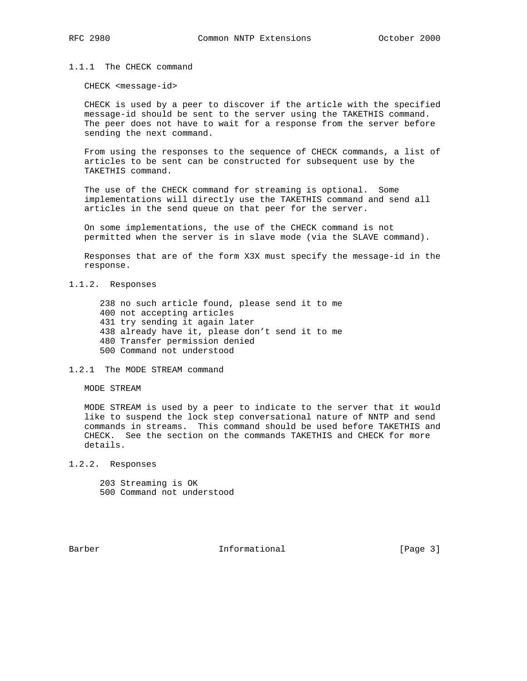## 1.1.1 The CHECK command

CHECK <message-id>

 CHECK is used by a peer to discover if the article with the specified message-id should be sent to the server using the TAKETHIS command. The peer does not have to wait for a response from the server before sending the next command.

 From using the responses to the sequence of CHECK commands, a list of articles to be sent can be constructed for subsequent use by the TAKETHIS command.

 The use of the CHECK command for streaming is optional. Some implementations will directly use the TAKETHIS command and send all articles in the send queue on that peer for the server.

 On some implementations, the use of the CHECK command is not permitted when the server is in slave mode (via the SLAVE command).

 Responses that are of the form X3X must specify the message-id in the response.

## 1.1.2. Responses

 238 no such article found, please send it to me 400 not accepting articles 431 try sending it again later 438 already have it, please don't send it to me 480 Transfer permission denied 500 Command not understood

1.2.1 The MODE STREAM command

MODE STREAM

 MODE STREAM is used by a peer to indicate to the server that it would like to suspend the lock step conversational nature of NNTP and send commands in streams. This command should be used before TAKETHIS and CHECK. See the section on the commands TAKETHIS and CHECK for more details.

- 1.2.2. Responses
	- 203 Streaming is OK
	- 500 Command not understood

Barber 11 1nformational 1996 [Page 3]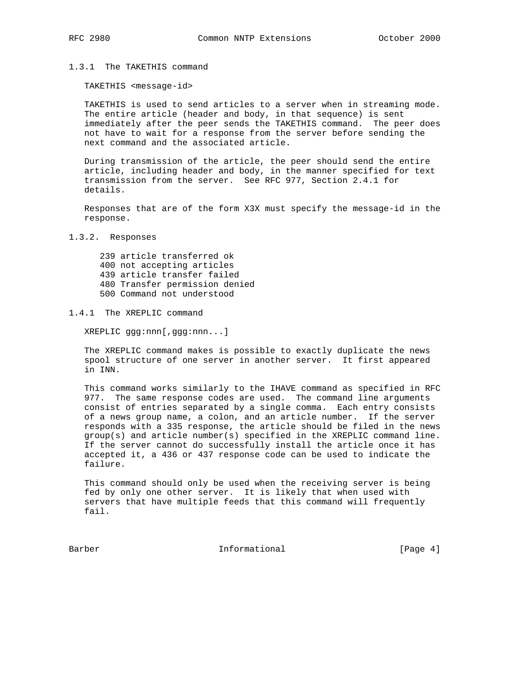## 1.3.1 The TAKETHIS command

TAKETHIS <message-id>

 TAKETHIS is used to send articles to a server when in streaming mode. The entire article (header and body, in that sequence) is sent immediately after the peer sends the TAKETHIS command. The peer does not have to wait for a response from the server before sending the next command and the associated article.

 During transmission of the article, the peer should send the entire article, including header and body, in the manner specified for text transmission from the server. See RFC 977, Section 2.4.1 for details.

 Responses that are of the form X3X must specify the message-id in the response.

## 1.3.2. Responses

 239 article transferred ok 400 not accepting articles 439 article transfer failed 480 Transfer permission denied 500 Command not understood

## 1.4.1 The XREPLIC command

XREPLIC ggg:nnn[,ggg:nnn...]

 The XREPLIC command makes is possible to exactly duplicate the news spool structure of one server in another server. It first appeared in INN.

 This command works similarly to the IHAVE command as specified in RFC 977. The same response codes are used. The command line arguments consist of entries separated by a single comma. Each entry consists of a news group name, a colon, and an article number. If the server responds with a 335 response, the article should be filed in the news group(s) and article number(s) specified in the XREPLIC command line. If the server cannot do successfully install the article once it has accepted it, a 436 or 437 response code can be used to indicate the failure.

 This command should only be used when the receiving server is being fed by only one other server. It is likely that when used with servers that have multiple feeds that this command will frequently fail.

Barber 11 1nformational 1996 (Page 4)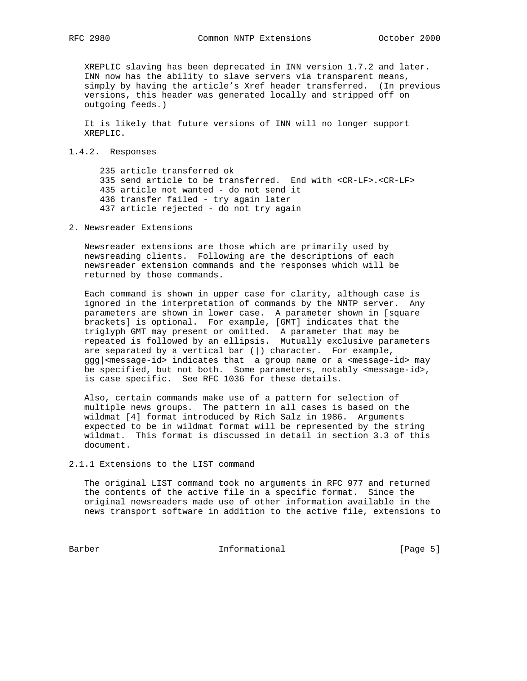XREPLIC slaving has been deprecated in INN version 1.7.2 and later. INN now has the ability to slave servers via transparent means, simply by having the article's Xref header transferred. (In previous versions, this header was generated locally and stripped off on outgoing feeds.)

 It is likely that future versions of INN will no longer support XREPLIC.

## 1.4.2. Responses

 235 article transferred ok 335 send article to be transferred. End with <CR-LF>.<CR-LF> 435 article not wanted - do not send it 436 transfer failed - try again later 437 article rejected - do not try again

2. Newsreader Extensions

 Newsreader extensions are those which are primarily used by newsreading clients. Following are the descriptions of each newsreader extension commands and the responses which will be returned by those commands.

 Each command is shown in upper case for clarity, although case is ignored in the interpretation of commands by the NNTP server. Any parameters are shown in lower case. A parameter shown in [square brackets] is optional. For example, [GMT] indicates that the triglyph GMT may present or omitted. A parameter that may be repeated is followed by an ellipsis. Mutually exclusive parameters are separated by a vertical bar  $(|)$  character. For example, ggg|<message-id> indicates that a group name or a <message-id> may be specified, but not both. Some parameters, notably <message-id>, is case specific. See RFC 1036 for these details.

 Also, certain commands make use of a pattern for selection of multiple news groups. The pattern in all cases is based on the wildmat [4] format introduced by Rich Salz in 1986. Arguments expected to be in wildmat format will be represented by the string wildmat. This format is discussed in detail in section 3.3 of this document.

2.1.1 Extensions to the LIST command

 The original LIST command took no arguments in RFC 977 and returned the contents of the active file in a specific format. Since the original newsreaders made use of other information available in the news transport software in addition to the active file, extensions to

Barber 10 1nformational 100 Eagle 5]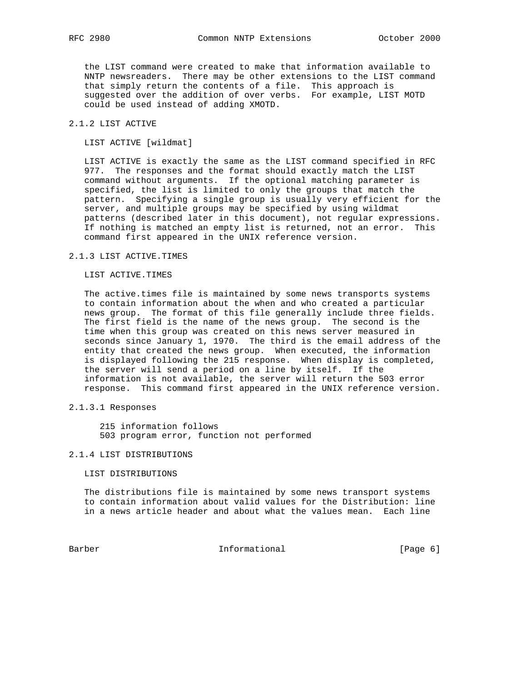the LIST command were created to make that information available to NNTP newsreaders. There may be other extensions to the LIST command that simply return the contents of a file. This approach is suggested over the addition of over verbs. For example, LIST MOTD could be used instead of adding XMOTD.

# 2.1.2 LIST ACTIVE

LIST ACTIVE [wildmat]

 LIST ACTIVE is exactly the same as the LIST command specified in RFC 977. The responses and the format should exactly match the LIST command without arguments. If the optional matching parameter is specified, the list is limited to only the groups that match the pattern. Specifying a single group is usually very efficient for the server, and multiple groups may be specified by using wildmat patterns (described later in this document), not regular expressions. If nothing is matched an empty list is returned, not an error. This command first appeared in the UNIX reference version.

# 2.1.3 LIST ACTIVE.TIMES

LIST ACTIVE.TIMES

The active.times file is maintained by some news transports systems to contain information about the when and who created a particular news group. The format of this file generally include three fields. The first field is the name of the news group. The second is the time when this group was created on this news server measured in seconds since January 1, 1970. The third is the email address of the entity that created the news group. When executed, the information is displayed following the 215 response. When display is completed, the server will send a period on a line by itself. If the information is not available, the server will return the 503 error response. This command first appeared in the UNIX reference version.

2.1.3.1 Responses

 215 information follows 503 program error, function not performed

#### 2.1.4 LIST DISTRIBUTIONS

LIST DISTRIBUTIONS

 The distributions file is maintained by some news transport systems to contain information about valid values for the Distribution: line in a news article header and about what the values mean. Each line

Barber 10 Informational 100 Informational [Page 6]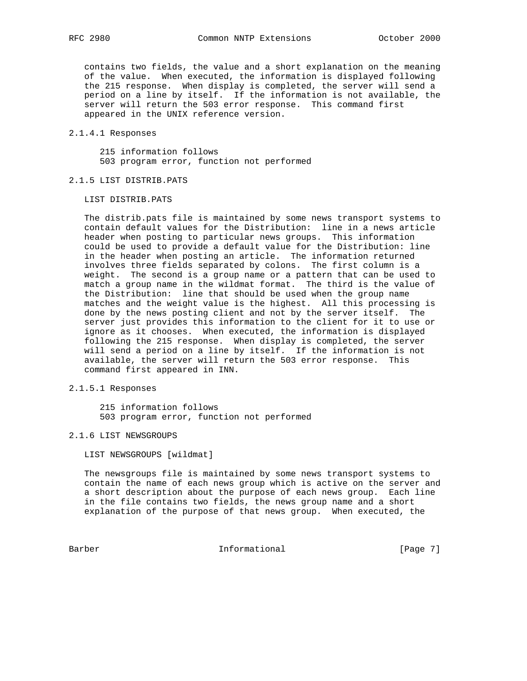contains two fields, the value and a short explanation on the meaning of the value. When executed, the information is displayed following the 215 response. When display is completed, the server will send a period on a line by itself. If the information is not available, the server will return the 503 error response. This command first appeared in the UNIX reference version.

## 2.1.4.1 Responses

 215 information follows 503 program error, function not performed

## 2.1.5 LIST DISTRIB.PATS

LIST DISTRIB.PATS

 The distrib.pats file is maintained by some news transport systems to contain default values for the Distribution: line in a news article header when posting to particular news groups. This information could be used to provide a default value for the Distribution: line in the header when posting an article. The information returned involves three fields separated by colons. The first column is a weight. The second is a group name or a pattern that can be used to match a group name in the wildmat format. The third is the value of the Distribution: line that should be used when the group name matches and the weight value is the highest. All this processing is done by the news posting client and not by the server itself. The server just provides this information to the client for it to use or ignore as it chooses. When executed, the information is displayed following the 215 response. When display is completed, the server will send a period on a line by itself. If the information is not available, the server will return the 503 error response. This command first appeared in INN.

## 2.1.5.1 Responses

 215 information follows 503 program error, function not performed

#### 2.1.6 LIST NEWSGROUPS

LIST NEWSGROUPS [wildmat]

 The newsgroups file is maintained by some news transport systems to contain the name of each news group which is active on the server and a short description about the purpose of each news group. Each line in the file contains two fields, the news group name and a short explanation of the purpose of that news group. When executed, the

Barber 10 Informational 100 Informational [Page 7]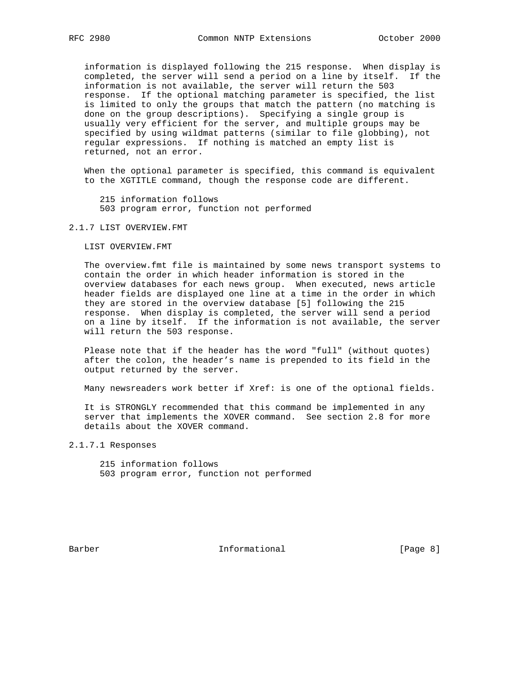information is displayed following the 215 response. When display is completed, the server will send a period on a line by itself. If the information is not available, the server will return the 503 response. If the optional matching parameter is specified, the list is limited to only the groups that match the pattern (no matching is done on the group descriptions). Specifying a single group is usually very efficient for the server, and multiple groups may be specified by using wildmat patterns (similar to file globbing), not regular expressions. If nothing is matched an empty list is returned, not an error.

 When the optional parameter is specified, this command is equivalent to the XGTITLE command, though the response code are different.

 215 information follows 503 program error, function not performed

### 2.1.7 LIST OVERVIEW.FMT

LIST OVERVIEW.FMT

 The overview.fmt file is maintained by some news transport systems to contain the order in which header information is stored in the overview databases for each news group. When executed, news article header fields are displayed one line at a time in the order in which they are stored in the overview database [5] following the 215 response. When display is completed, the server will send a period on a line by itself. If the information is not available, the server will return the 503 response.

 Please note that if the header has the word "full" (without quotes) after the colon, the header's name is prepended to its field in the output returned by the server.

Many newsreaders work better if Xref: is one of the optional fields.

 It is STRONGLY recommended that this command be implemented in any server that implements the XOVER command. See section 2.8 for more details about the XOVER command.

2.1.7.1 Responses

 215 information follows 503 program error, function not performed

Barber 10 1nformational 1996 (Page 8)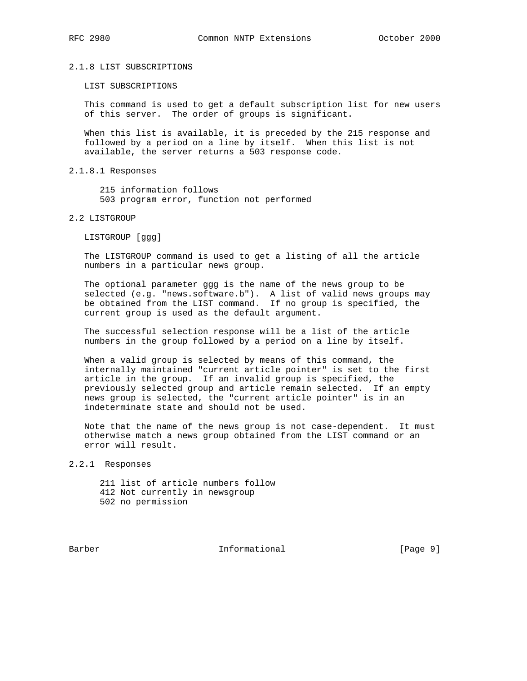#### 2.1.8 LIST SUBSCRIPTIONS

LIST SUBSCRIPTIONS

 This command is used to get a default subscription list for new users of this server. The order of groups is significant.

 When this list is available, it is preceded by the 215 response and followed by a period on a line by itself. When this list is not available, the server returns a 503 response code.

#### 2.1.8.1 Responses

 215 information follows 503 program error, function not performed

## 2.2 LISTGROUP

LISTGROUP [ggg]

 The LISTGROUP command is used to get a listing of all the article numbers in a particular news group.

 The optional parameter ggg is the name of the news group to be selected (e.g. "news.software.b"). A list of valid news groups may be obtained from the LIST command. If no group is specified, the current group is used as the default argument.

 The successful selection response will be a list of the article numbers in the group followed by a period on a line by itself.

 When a valid group is selected by means of this command, the internally maintained "current article pointer" is set to the first article in the group. If an invalid group is specified, the previously selected group and article remain selected. If an empty news group is selected, the "current article pointer" is in an indeterminate state and should not be used.

 Note that the name of the news group is not case-dependent. It must otherwise match a news group obtained from the LIST command or an error will result.

2.2.1 Responses

 211 list of article numbers follow 412 Not currently in newsgroup 502 no permission

Barber 10 1nformational 1996 [Page 9]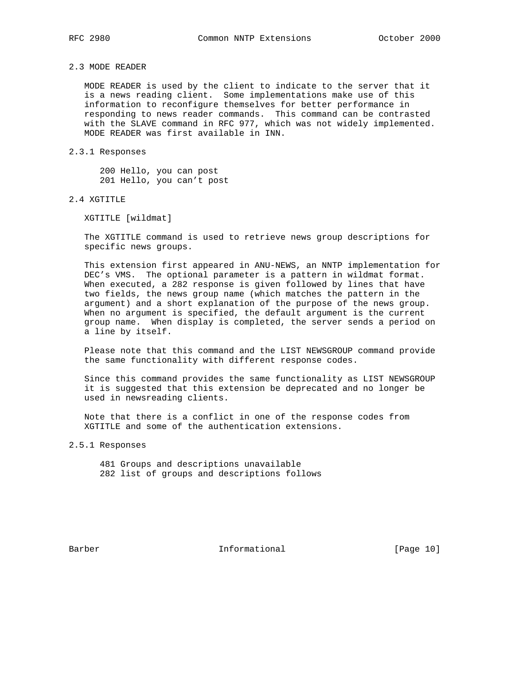# 2.3 MODE READER

 MODE READER is used by the client to indicate to the server that it is a news reading client. Some implementations make use of this information to reconfigure themselves for better performance in responding to news reader commands. This command can be contrasted with the SLAVE command in RFC 977, which was not widely implemented. MODE READER was first available in INN.

## 2.3.1 Responses

 200 Hello, you can post 201 Hello, you can't post

## 2.4 XGTITLE

XGTITLE [wildmat]

 The XGTITLE command is used to retrieve news group descriptions for specific news groups.

 This extension first appeared in ANU-NEWS, an NNTP implementation for DEC's VMS. The optional parameter is a pattern in wildmat format. When executed, a 282 response is given followed by lines that have two fields, the news group name (which matches the pattern in the argument) and a short explanation of the purpose of the news group. When no argument is specified, the default argument is the current group name. When display is completed, the server sends a period on a line by itself.

 Please note that this command and the LIST NEWSGROUP command provide the same functionality with different response codes.

 Since this command provides the same functionality as LIST NEWSGROUP it is suggested that this extension be deprecated and no longer be used in newsreading clients.

 Note that there is a conflict in one of the response codes from XGTITLE and some of the authentication extensions.

2.5.1 Responses

 481 Groups and descriptions unavailable 282 list of groups and descriptions follows

Barber 10 Informational [Page 10]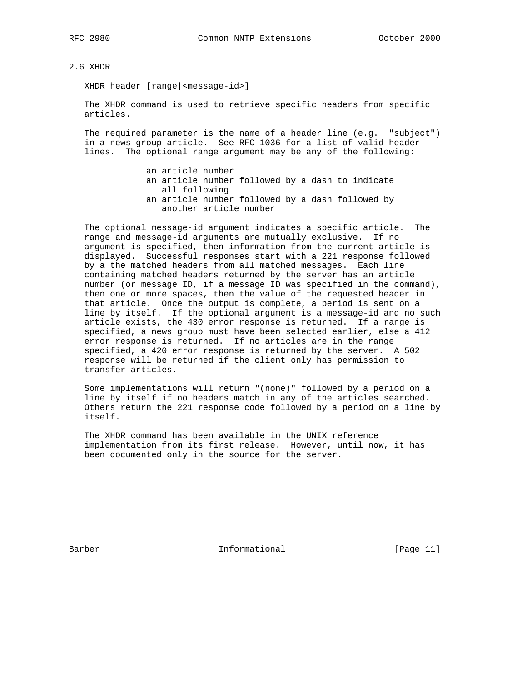2.6 XHDR

XHDR header [range|<message-id>]

 The XHDR command is used to retrieve specific headers from specific articles.

 The required parameter is the name of a header line (e.g. "subject") in a news group article. See RFC 1036 for a list of valid header lines. The optional range argument may be any of the following:

> an article number an article number followed by a dash to indicate all following an article number followed by a dash followed by another article number

 The optional message-id argument indicates a specific article. The range and message-id arguments are mutually exclusive. If no argument is specified, then information from the current article is displayed. Successful responses start with a 221 response followed by a the matched headers from all matched messages. Each line containing matched headers returned by the server has an article number (or message ID, if a message ID was specified in the command), then one or more spaces, then the value of the requested header in that article. Once the output is complete, a period is sent on a line by itself. If the optional argument is a message-id and no such article exists, the 430 error response is returned. If a range is specified, a news group must have been selected earlier, else a 412 error response is returned. If no articles are in the range specified, a 420 error response is returned by the server. A 502 response will be returned if the client only has permission to transfer articles.

 Some implementations will return "(none)" followed by a period on a line by itself if no headers match in any of the articles searched. Others return the 221 response code followed by a period on a line by itself.

 The XHDR command has been available in the UNIX reference implementation from its first release. However, until now, it has been documented only in the source for the server.

Barber 11 Informational [Page 11]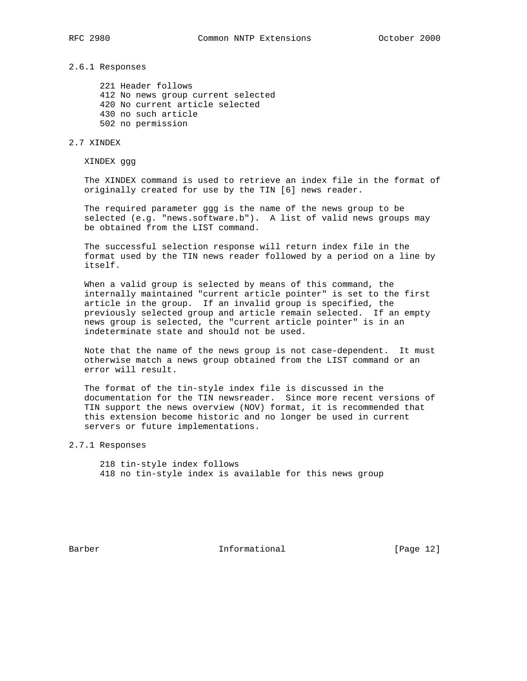## 2.6.1 Responses

 221 Header follows 412 No news group current selected 420 No current article selected 430 no such article 502 no permission

## 2.7 XINDEX

XINDEX ggg

 The XINDEX command is used to retrieve an index file in the format of originally created for use by the TIN [6] news reader.

 The required parameter ggg is the name of the news group to be selected (e.g. "news.software.b"). A list of valid news groups may be obtained from the LIST command.

 The successful selection response will return index file in the format used by the TIN news reader followed by a period on a line by itself.

 When a valid group is selected by means of this command, the internally maintained "current article pointer" is set to the first article in the group. If an invalid group is specified, the previously selected group and article remain selected. If an empty news group is selected, the "current article pointer" is in an indeterminate state and should not be used.

 Note that the name of the news group is not case-dependent. It must otherwise match a news group obtained from the LIST command or an error will result.

 The format of the tin-style index file is discussed in the documentation for the TIN newsreader. Since more recent versions of TIN support the news overview (NOV) format, it is recommended that this extension become historic and no longer be used in current servers or future implementations.

## 2.7.1 Responses

 218 tin-style index follows 418 no tin-style index is available for this news group

Barber 10 1nformational [Page 12]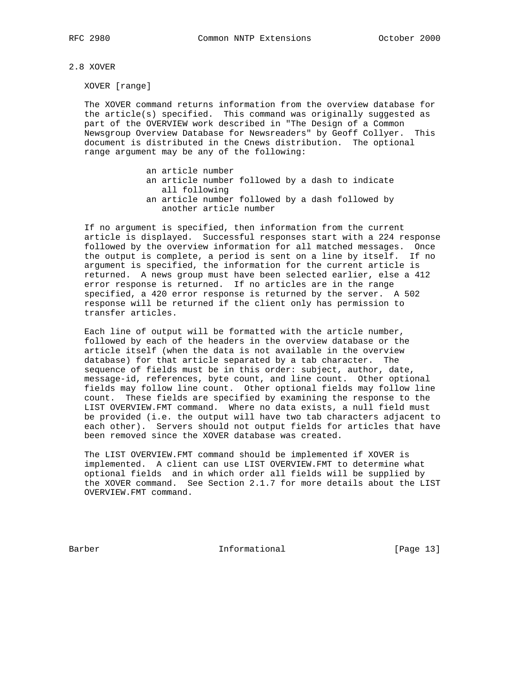2.8 XOVER

XOVER [range]

 The XOVER command returns information from the overview database for the article(s) specified. This command was originally suggested as part of the OVERVIEW work described in "The Design of a Common Newsgroup Overview Database for Newsreaders" by Geoff Collyer. This document is distributed in the Cnews distribution. The optional range argument may be any of the following:

an article number

- an article number followed by a dash to indicate all following an article number followed by a dash followed by
- another article number

 If no argument is specified, then information from the current article is displayed. Successful responses start with a 224 response followed by the overview information for all matched messages. Once the output is complete, a period is sent on a line by itself. If no argument is specified, the information for the current article is returned. A news group must have been selected earlier, else a 412 error response is returned. If no articles are in the range specified, a 420 error response is returned by the server. A 502 response will be returned if the client only has permission to transfer articles.

 Each line of output will be formatted with the article number, followed by each of the headers in the overview database or the article itself (when the data is not available in the overview database) for that article separated by a tab character. The sequence of fields must be in this order: subject, author, date, message-id, references, byte count, and line count. Other optional fields may follow line count. Other optional fields may follow line count. These fields are specified by examining the response to the LIST OVERVIEW.FMT command. Where no data exists, a null field must be provided (i.e. the output will have two tab characters adjacent to each other). Servers should not output fields for articles that have been removed since the XOVER database was created.

 The LIST OVERVIEW.FMT command should be implemented if XOVER is implemented. A client can use LIST OVERVIEW.FMT to determine what optional fields and in which order all fields will be supplied by the XOVER command. See Section 2.1.7 for more details about the LIST OVERVIEW.FMT command.

Barber 1988 Informational The Informational [Page 13]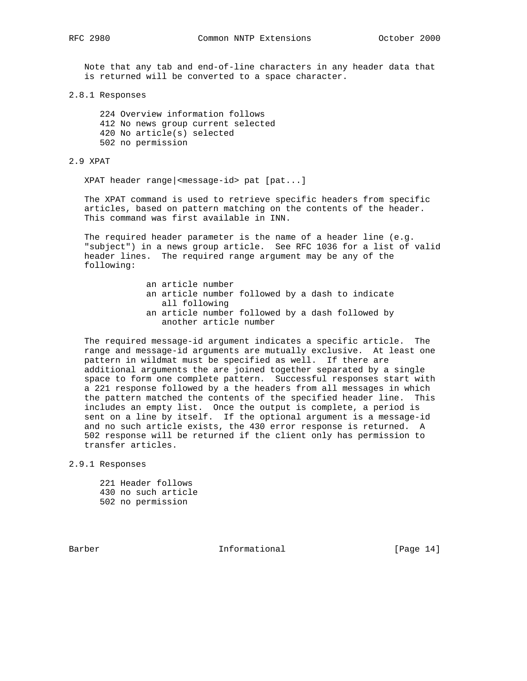Note that any tab and end-of-line characters in any header data that is returned will be converted to a space character.

## 2.8.1 Responses

 224 Overview information follows 412 No news group current selected 420 No article(s) selected 502 no permission

## 2.9 XPAT

XPAT header range|<message-id> pat [pat...]

 The XPAT command is used to retrieve specific headers from specific articles, based on pattern matching on the contents of the header. This command was first available in INN.

 The required header parameter is the name of a header line (e.g. "subject") in a news group article. See RFC 1036 for a list of valid header lines. The required range argument may be any of the following:

> an article number an article number followed by a dash to indicate all following an article number followed by a dash followed by another article number

 The required message-id argument indicates a specific article. The range and message-id arguments are mutually exclusive. At least one pattern in wildmat must be specified as well. If there are additional arguments the are joined together separated by a single space to form one complete pattern. Successful responses start with a 221 response followed by a the headers from all messages in which the pattern matched the contents of the specified header line. This includes an empty list. Once the output is complete, a period is sent on a line by itself. If the optional argument is a message-id and no such article exists, the 430 error response is returned. A 502 response will be returned if the client only has permission to transfer articles.

2.9.1 Responses

 221 Header follows 430 no such article 502 no permission

Barber 11 1nformational [Page 14]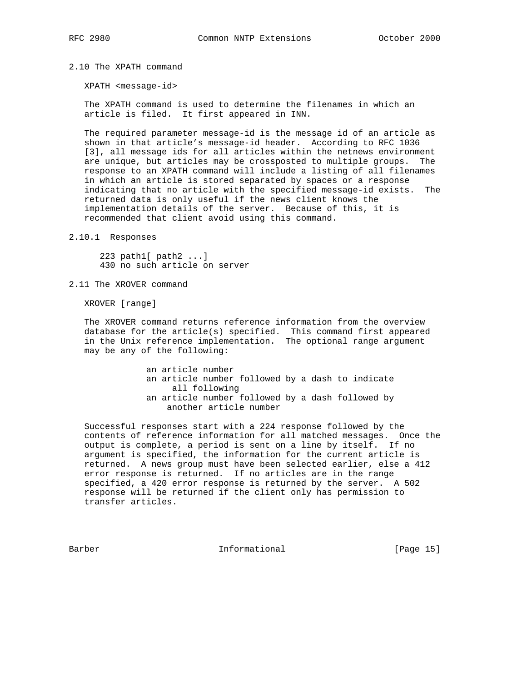## 2.10 The XPATH command

XPATH <message-id>

 The XPATH command is used to determine the filenames in which an article is filed. It first appeared in INN.

 The required parameter message-id is the message id of an article as shown in that article's message-id header. According to RFC 1036 [3], all message ids for all articles within the netnews environment are unique, but articles may be crossposted to multiple groups. The response to an XPATH command will include a listing of all filenames in which an article is stored separated by spaces or a response indicating that no article with the specified message-id exists. The returned data is only useful if the news client knows the implementation details of the server. Because of this, it is recommended that client avoid using this command.

## 2.10.1 Responses

 223 path1[ path2 ...] 430 no such article on server

2.11 The XROVER command

XROVER [range]

 The XROVER command returns reference information from the overview database for the article(s) specified. This command first appeared in the Unix reference implementation. The optional range argument may be any of the following:

> an article number an article number followed by a dash to indicate all following an article number followed by a dash followed by another article number

 Successful responses start with a 224 response followed by the contents of reference information for all matched messages. Once the output is complete, a period is sent on a line by itself. If no argument is specified, the information for the current article is returned. A news group must have been selected earlier, else a 412 error response is returned. If no articles are in the range specified, a 420 error response is returned by the server. A 502 response will be returned if the client only has permission to transfer articles.

Barber 1989 Informational 1989 [Page 15]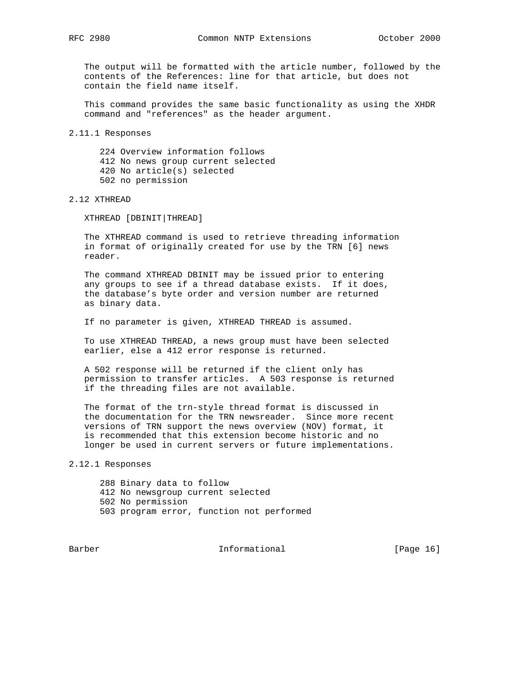The output will be formatted with the article number, followed by the contents of the References: line for that article, but does not contain the field name itself.

 This command provides the same basic functionality as using the XHDR command and "references" as the header argument.

2.11.1 Responses

 224 Overview information follows 412 No news group current selected 420 No article(s) selected 502 no permission

2.12 XTHREAD

XTHREAD [DBINIT|THREAD]

 The XTHREAD command is used to retrieve threading information in format of originally created for use by the TRN [6] news reader.

 The command XTHREAD DBINIT may be issued prior to entering any groups to see if a thread database exists. If it does, the database's byte order and version number are returned as binary data.

If no parameter is given, XTHREAD THREAD is assumed.

 To use XTHREAD THREAD, a news group must have been selected earlier, else a 412 error response is returned.

 A 502 response will be returned if the client only has permission to transfer articles. A 503 response is returned if the threading files are not available.

 The format of the trn-style thread format is discussed in the documentation for the TRN newsreader. Since more recent versions of TRN support the news overview (NOV) format, it is recommended that this extension become historic and no longer be used in current servers or future implementations.

2.12.1 Responses

 288 Binary data to follow 412 No newsgroup current selected 502 No permission 503 program error, function not performed

Barber 10 1nformational [Page 16]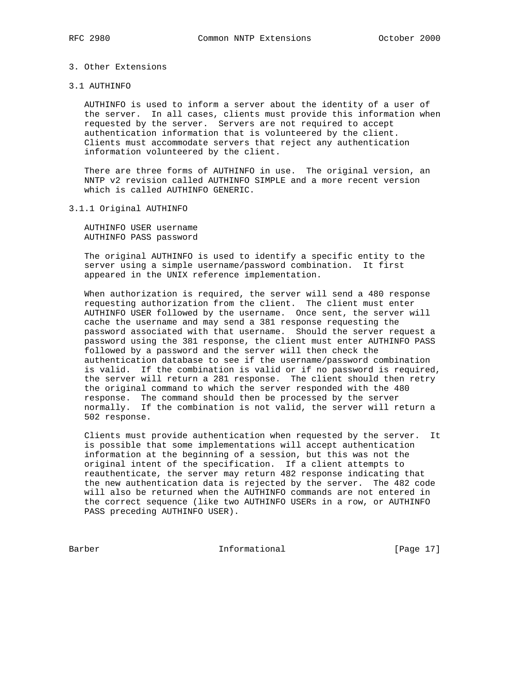# 3. Other Extensions

#### 3.1 AUTHINFO

 AUTHINFO is used to inform a server about the identity of a user of the server. In all cases, clients must provide this information when requested by the server. Servers are not required to accept authentication information that is volunteered by the client. Clients must accommodate servers that reject any authentication information volunteered by the client.

 There are three forms of AUTHINFO in use. The original version, an NNTP v2 revision called AUTHINFO SIMPLE and a more recent version which is called AUTHINFO GENERIC.

## 3.1.1 Original AUTHINFO

 AUTHINFO USER username AUTHINFO PASS password

 The original AUTHINFO is used to identify a specific entity to the server using a simple username/password combination. It first appeared in the UNIX reference implementation.

 When authorization is required, the server will send a 480 response requesting authorization from the client. The client must enter AUTHINFO USER followed by the username. Once sent, the server will cache the username and may send a 381 response requesting the password associated with that username. Should the server request a password using the 381 response, the client must enter AUTHINFO PASS followed by a password and the server will then check the authentication database to see if the username/password combination is valid. If the combination is valid or if no password is required, the server will return a 281 response. The client should then retry the original command to which the server responded with the 480 response. The command should then be processed by the server normally. If the combination is not valid, the server will return a 502 response.

 Clients must provide authentication when requested by the server. It is possible that some implementations will accept authentication information at the beginning of a session, but this was not the original intent of the specification. If a client attempts to reauthenticate, the server may return 482 response indicating that the new authentication data is rejected by the server. The 482 code will also be returned when the AUTHINFO commands are not entered in the correct sequence (like two AUTHINFO USERs in a row, or AUTHINFO PASS preceding AUTHINFO USER).

Barber 17 Informational [Page 17]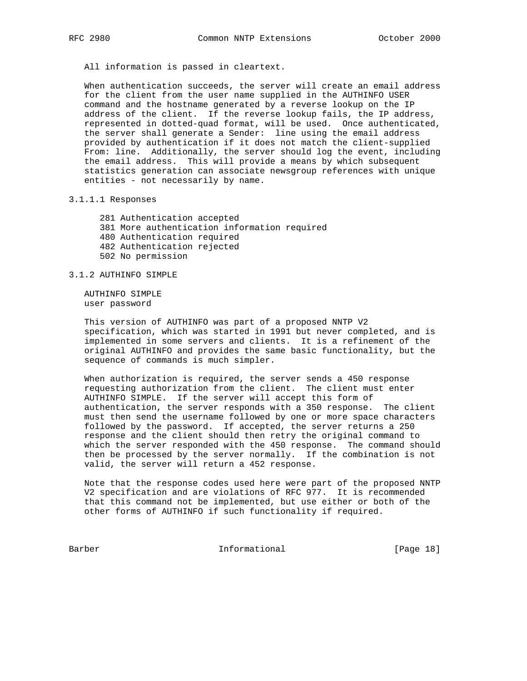All information is passed in cleartext.

 When authentication succeeds, the server will create an email address for the client from the user name supplied in the AUTHINFO USER command and the hostname generated by a reverse lookup on the IP address of the client. If the reverse lookup fails, the IP address, represented in dotted-quad format, will be used. Once authenticated, the server shall generate a Sender: line using the email address provided by authentication if it does not match the client-supplied From: line. Additionally, the server should log the event, including the email address. This will provide a means by which subsequent statistics generation can associate newsgroup references with unique entities - not necessarily by name.

#### 3.1.1.1 Responses

 281 Authentication accepted 381 More authentication information required 480 Authentication required 482 Authentication rejected 502 No permission

## 3.1.2 AUTHINFO SIMPLE

 AUTHINFO SIMPLE user password

 This version of AUTHINFO was part of a proposed NNTP V2 specification, which was started in 1991 but never completed, and is implemented in some servers and clients. It is a refinement of the original AUTHINFO and provides the same basic functionality, but the sequence of commands is much simpler.

 When authorization is required, the server sends a 450 response requesting authorization from the client. The client must enter AUTHINFO SIMPLE. If the server will accept this form of authentication, the server responds with a 350 response. The client must then send the username followed by one or more space characters followed by the password. If accepted, the server returns a 250 response and the client should then retry the original command to which the server responded with the 450 response. The command should then be processed by the server normally. If the combination is not valid, the server will return a 452 response.

 Note that the response codes used here were part of the proposed NNTP V2 specification and are violations of RFC 977. It is recommended that this command not be implemented, but use either or both of the other forms of AUTHINFO if such functionality if required.

Barber 181 Informational [Page 18]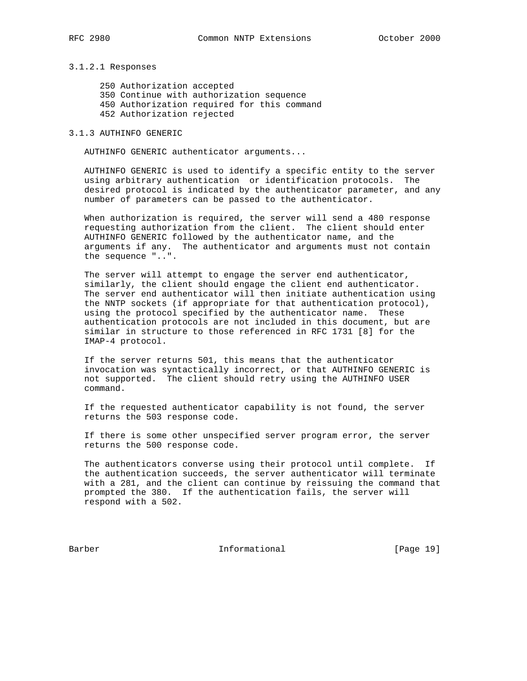### 3.1.2.1 Responses

 250 Authorization accepted 350 Continue with authorization sequence 450 Authorization required for this command 452 Authorization rejected

## 3.1.3 AUTHINFO GENERIC

AUTHINFO GENERIC authenticator arguments...

 AUTHINFO GENERIC is used to identify a specific entity to the server using arbitrary authentication or identification protocols. The desired protocol is indicated by the authenticator parameter, and any number of parameters can be passed to the authenticator.

 When authorization is required, the server will send a 480 response requesting authorization from the client. The client should enter AUTHINFO GENERIC followed by the authenticator name, and the arguments if any. The authenticator and arguments must not contain the sequence "..".

 The server will attempt to engage the server end authenticator, similarly, the client should engage the client end authenticator. The server end authenticator will then initiate authentication using the NNTP sockets (if appropriate for that authentication protocol), using the protocol specified by the authenticator name. These authentication protocols are not included in this document, but are similar in structure to those referenced in RFC 1731 [8] for the IMAP-4 protocol.

 If the server returns 501, this means that the authenticator invocation was syntactically incorrect, or that AUTHINFO GENERIC is not supported. The client should retry using the AUTHINFO USER command.

 If the requested authenticator capability is not found, the server returns the 503 response code.

 If there is some other unspecified server program error, the server returns the 500 response code.

 The authenticators converse using their protocol until complete. If the authentication succeeds, the server authenticator will terminate with a 281, and the client can continue by reissuing the command that prompted the 380. If the authentication fails, the server will respond with a 502.

Barber Informational [Page 19]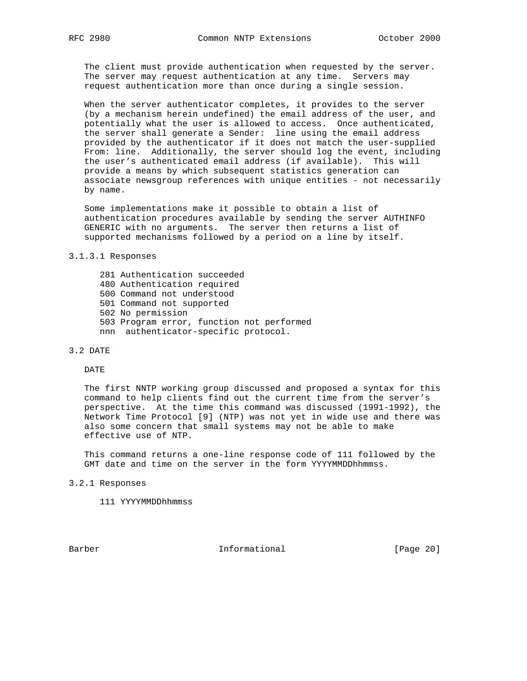The client must provide authentication when requested by the server. The server may request authentication at any time. Servers may request authentication more than once during a single session.

 When the server authenticator completes, it provides to the server (by a mechanism herein undefined) the email address of the user, and potentially what the user is allowed to access. Once authenticated, the server shall generate a Sender: line using the email address provided by the authenticator if it does not match the user-supplied From: line. Additionally, the server should log the event, including the user's authenticated email address (if available). This will provide a means by which subsequent statistics generation can associate newsgroup references with unique entities - not necessarily by name.

 Some implementations make it possible to obtain a list of authentication procedures available by sending the server AUTHINFO GENERIC with no arguments. The server then returns a list of supported mechanisms followed by a period on a line by itself.

#### 3.1.3.1 Responses

- 281 Authentication succeeded
- 480 Authentication required
- 500 Command not understood
- 501 Command not supported
- 502 No permission
- 503 Program error, function not performed
- nnn authenticator-specific protocol.

## 3.2 DATE

#### DATE

 The first NNTP working group discussed and proposed a syntax for this command to help clients find out the current time from the server's perspective. At the time this command was discussed (1991-1992), the Network Time Protocol [9] (NTP) was not yet in wide use and there was also some concern that small systems may not be able to make effective use of NTP.

 This command returns a one-line response code of 111 followed by the GMT date and time on the server in the form YYYYMMDDhhmmss.

- 3.2.1 Responses
	- 111 YYYYMMDDhhmmss

Barber 10 1nformational [Page 20]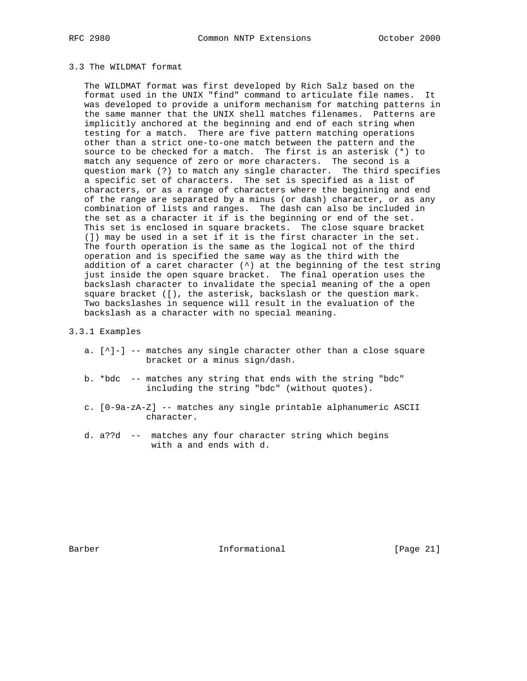## 3.3 The WILDMAT format

 The WILDMAT format was first developed by Rich Salz based on the format used in the UNIX "find" command to articulate file names. It was developed to provide a uniform mechanism for matching patterns in the same manner that the UNIX shell matches filenames. Patterns are implicitly anchored at the beginning and end of each string when testing for a match. There are five pattern matching operations other than a strict one-to-one match between the pattern and the source to be checked for a match. The first is an asterisk (\*) to match any sequence of zero or more characters. The second is a question mark (?) to match any single character. The third specifies a specific set of characters. The set is specified as a list of characters, or as a range of characters where the beginning and end of the range are separated by a minus (or dash) character, or as any combination of lists and ranges. The dash can also be included in the set as a character it if is the beginning or end of the set. This set is enclosed in square brackets. The close square bracket (]) may be used in a set if it is the first character in the set. The fourth operation is the same as the logical not of the third operation and is specified the same way as the third with the addition of a caret character (^) at the beginning of the test string just inside the open square bracket. The final operation uses the backslash character to invalidate the special meaning of the a open square bracket ([), the asterisk, backslash or the question mark. Two backslashes in sequence will result in the evaluation of the backslash as a character with no special meaning.

#### 3.3.1 Examples

- a. [^]-] -- matches any single character other than a close square bracket or a minus sign/dash.
- b. \*bdc -- matches any string that ends with the string "bdc" including the string "bdc" (without quotes).
- c. [0-9a-zA-Z] -- matches any single printable alphanumeric ASCII character.
- d. a??d -- matches any four character string which begins with a and ends with d.

Barber 10 1nformational [Page 21]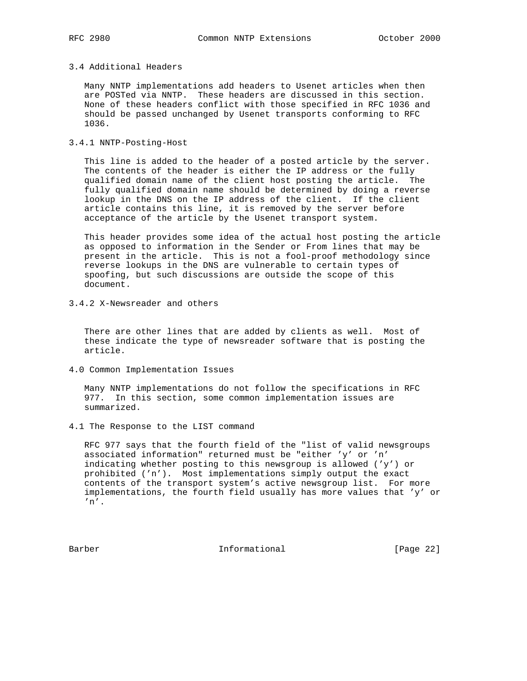#### 3.4 Additional Headers

 Many NNTP implementations add headers to Usenet articles when then are POSTed via NNTP. These headers are discussed in this section. None of these headers conflict with those specified in RFC 1036 and should be passed unchanged by Usenet transports conforming to RFC 1036.

3.4.1 NNTP-Posting-Host

 This line is added to the header of a posted article by the server. The contents of the header is either the IP address or the fully qualified domain name of the client host posting the article. The fully qualified domain name should be determined by doing a reverse lookup in the DNS on the IP address of the client. If the client article contains this line, it is removed by the server before acceptance of the article by the Usenet transport system.

 This header provides some idea of the actual host posting the article as opposed to information in the Sender or From lines that may be present in the article. This is not a fool-proof methodology since reverse lookups in the DNS are vulnerable to certain types of spoofing, but such discussions are outside the scope of this document.

3.4.2 X-Newsreader and others

 There are other lines that are added by clients as well. Most of these indicate the type of newsreader software that is posting the article.

4.0 Common Implementation Issues

 Many NNTP implementations do not follow the specifications in RFC 977. In this section, some common implementation issues are summarized.

4.1 The Response to the LIST command

 RFC 977 says that the fourth field of the "list of valid newsgroups associated information" returned must be "either 'y' or 'n' indicating whether posting to this newsgroup is allowed ('y') or prohibited ('n'). Most implementations simply output the exact contents of the transport system's active newsgroup list. For more implementations, the fourth field usually has more values that 'y' or 'n'.

Barber 10 Informational [Page 22]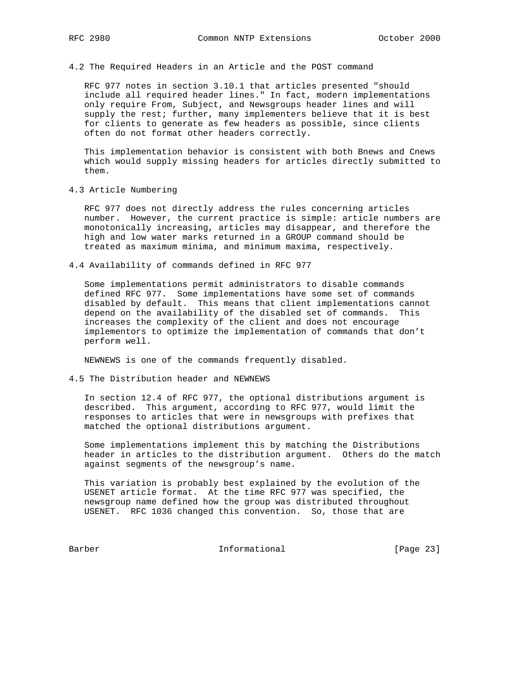4.2 The Required Headers in an Article and the POST command

 RFC 977 notes in section 3.10.1 that articles presented "should include all required header lines." In fact, modern implementations only require From, Subject, and Newsgroups header lines and will supply the rest; further, many implementers believe that it is best for clients to generate as few headers as possible, since clients often do not format other headers correctly.

 This implementation behavior is consistent with both Bnews and Cnews which would supply missing headers for articles directly submitted to them.

4.3 Article Numbering

 RFC 977 does not directly address the rules concerning articles number. However, the current practice is simple: article numbers are monotonically increasing, articles may disappear, and therefore the high and low water marks returned in a GROUP command should be treated as maximum minima, and minimum maxima, respectively.

4.4 Availability of commands defined in RFC 977

 Some implementations permit administrators to disable commands defined RFC 977. Some implementations have some set of commands disabled by default. This means that client implementations cannot depend on the availability of the disabled set of commands. This increases the complexity of the client and does not encourage implementors to optimize the implementation of commands that don't perform well.

NEWNEWS is one of the commands frequently disabled.

4.5 The Distribution header and NEWNEWS

 In section 12.4 of RFC 977, the optional distributions argument is described. This argument, according to RFC 977, would limit the responses to articles that were in newsgroups with prefixes that matched the optional distributions argument.

 Some implementations implement this by matching the Distributions header in articles to the distribution argument. Others do the match against segments of the newsgroup's name.

 This variation is probably best explained by the evolution of the USENET article format. At the time RFC 977 was specified, the newsgroup name defined how the group was distributed throughout USENET. RFC 1036 changed this convention. So, those that are

Barber 10 Informational [Page 23]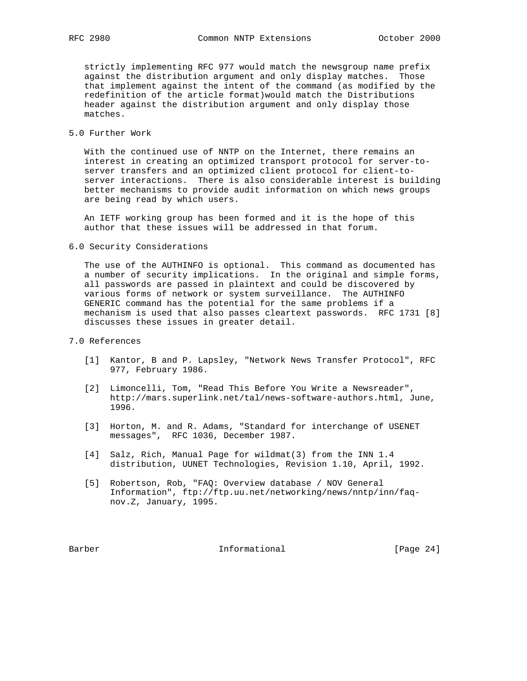strictly implementing RFC 977 would match the newsgroup name prefix against the distribution argument and only display matches. Those that implement against the intent of the command (as modified by the redefinition of the article format)would match the Distributions header against the distribution argument and only display those matches.

## 5.0 Further Work

 With the continued use of NNTP on the Internet, there remains an interest in creating an optimized transport protocol for server-to server transfers and an optimized client protocol for client-to server interactions. There is also considerable interest is building better mechanisms to provide audit information on which news groups are being read by which users.

 An IETF working group has been formed and it is the hope of this author that these issues will be addressed in that forum.

6.0 Security Considerations

 The use of the AUTHINFO is optional. This command as documented has a number of security implications. In the original and simple forms, all passwords are passed in plaintext and could be discovered by various forms of network or system surveillance. The AUTHINFO GENERIC command has the potential for the same problems if a mechanism is used that also passes cleartext passwords. RFC 1731 [8] discusses these issues in greater detail.

## 7.0 References

- [1] Kantor, B and P. Lapsley, "Network News Transfer Protocol", RFC 977, February 1986.
- [2] Limoncelli, Tom, "Read This Before You Write a Newsreader", http://mars.superlink.net/tal/news-software-authors.html, June, 1996.
- [3] Horton, M. and R. Adams, "Standard for interchange of USENET messages", RFC 1036, December 1987.
- [4] Salz, Rich, Manual Page for wildmat(3) from the INN 1.4 distribution, UUNET Technologies, Revision 1.10, April, 1992.
- [5] Robertson, Rob, "FAQ: Overview database / NOV General Information", ftp://ftp.uu.net/networking/news/nntp/inn/faq nov.Z, January, 1995.

Barber Informational [Page 24]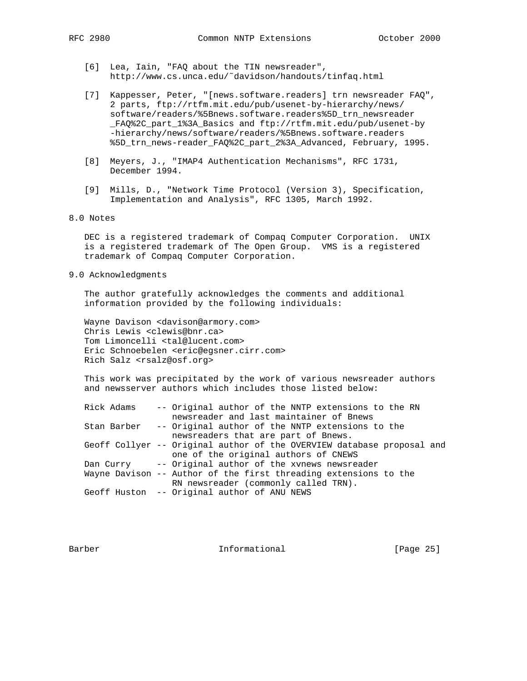- [6] Lea, Iain, "FAQ about the TIN newsreader", http://www.cs.unca.edu/˜davidson/handouts/tinfaq.html
- [7] Kappesser, Peter, "[news.software.readers] trn newsreader FAQ", 2 parts, ftp://rtfm.mit.edu/pub/usenet-by-hierarchy/news/ software/readers/%5Bnews.software.readers%5D\_trn\_newsreader \_FAQ%2C\_part\_1%3A\_Basics and ftp://rtfm.mit.edu/pub/usenet-by -hierarchy/news/software/readers/%5Bnews.software.readers %5D\_trn\_news-reader\_FAQ%2C\_part\_2%3A\_Advanced, February, 1995.
- [8] Meyers, J., "IMAP4 Authentication Mechanisms", RFC 1731, December 1994.
- [9] Mills, D., "Network Time Protocol (Version 3), Specification, Implementation and Analysis", RFC 1305, March 1992.

## 8.0 Notes

 DEC is a registered trademark of Compaq Computer Corporation. UNIX is a registered trademark of The Open Group. VMS is a registered trademark of Compaq Computer Corporation.

9.0 Acknowledgments

 The author gratefully acknowledges the comments and additional information provided by the following individuals:

 Wayne Davison <davison@armory.com> Chris Lewis <clewis@bnr.ca> Tom Limoncelli <tal@lucent.com> Eric Schnoebelen <eric@egsner.cirr.com> Rich Salz <rsalz@osf.org>

 This work was precipitated by the work of various newsreader authors and newsserver authors which includes those listed below:

| Rick Adams | -- Original author of the NNTP extensions to the RN                    |
|------------|------------------------------------------------------------------------|
|            | newsreader and last maintainer of Bnews                                |
|            | Stan Barber -- Original author of the NNTP extensions to the           |
|            | newsreaders that are part of Bnews.                                    |
|            | Geoff Collyer -- Original author of the OVERVIEW database proposal and |
|            | one of the original authors of CNEWS                                   |
|            | Dan Curry -- Original author of the xynews newsreader                  |
|            | Wayne Davison -- Author of the first threading extensions to the       |
|            | RN newsreader (commonly called TRN).                                   |
|            | Geoff Huston -- Original author of ANU NEWS                            |
|            |                                                                        |

Barber 10 1nformational [Page 25]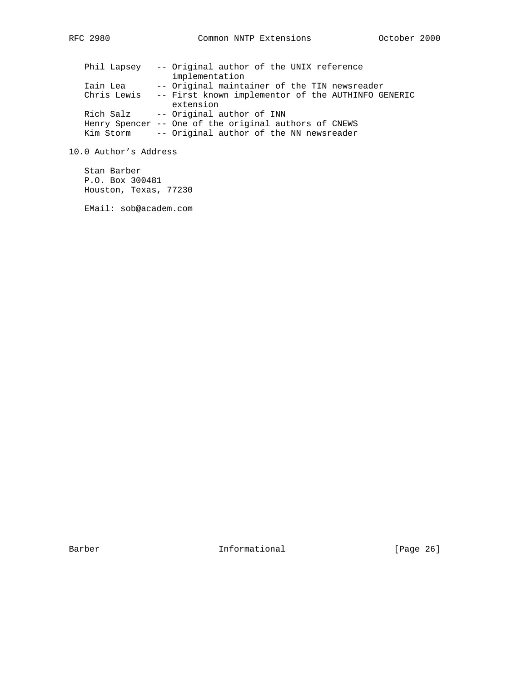|             | Phil Lapsey -- Original author of the UNIX reference  |
|-------------|-------------------------------------------------------|
|             | implementation                                        |
| Iain Lea    | -- Original maintainer of the TIN newsreader          |
| Chris Lewis | -- First known implementor of the AUTHINFO GENERIC    |
|             | extension                                             |
| Rich Salz   | -- Original author of INN                             |
|             | Henry Spencer -- One of the original authors of CNEWS |
| Kim Storm   | -- Original author of the NN newsreader               |

10.0 Author's Address

 Stan Barber P.O. Box 300481 Houston, Texas, 77230

EMail: sob@academ.com

Barber 10 Informational 100 Page 26]